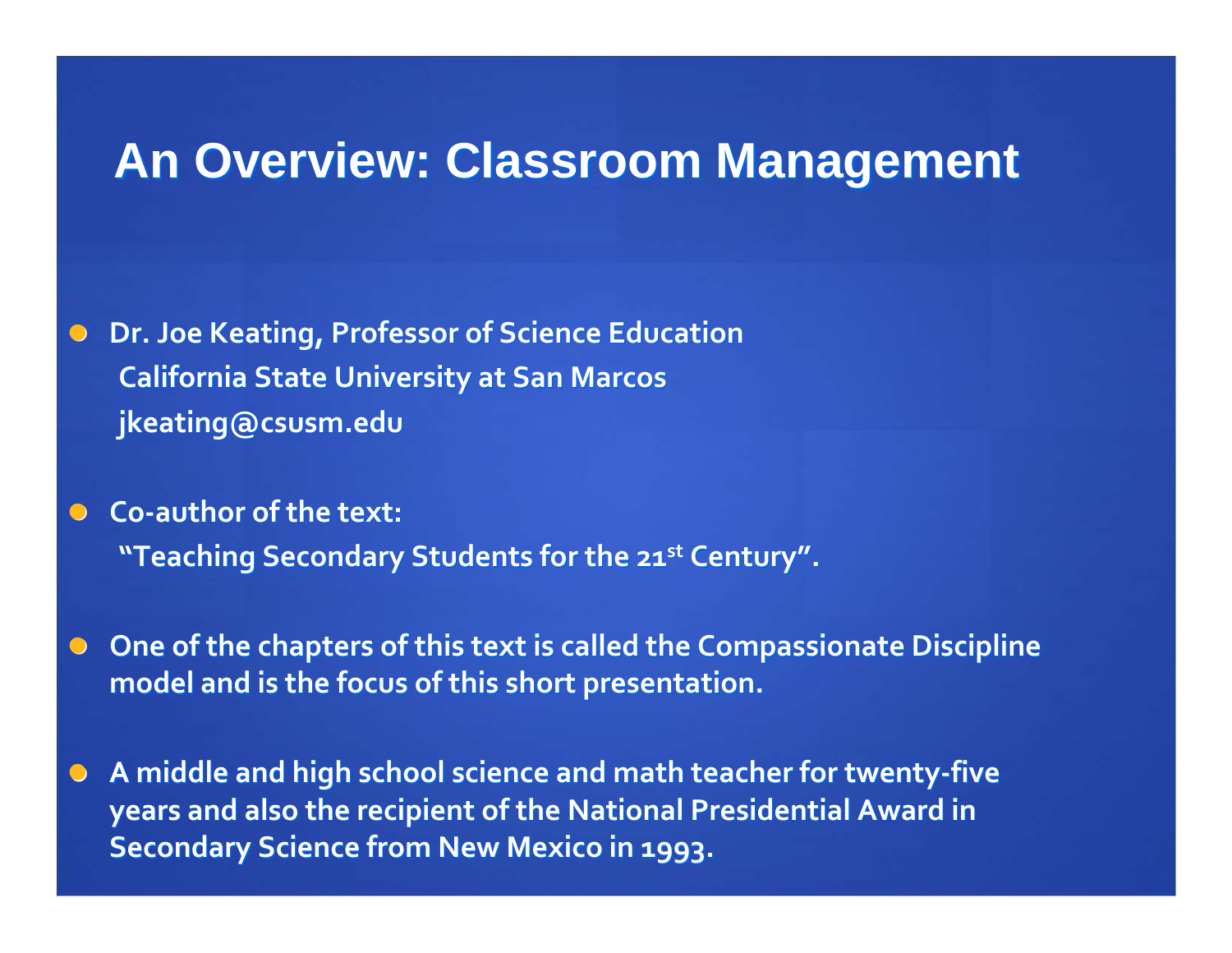## **An Overview: Classroom Management An Overview: Classroom Management**

 $\bigcirc$ **Dr.** Joe Keating, Professor of Science Education **California California State University University at San Marcos jkeating@csusm.edu jkeating@csusm.edu**

 $\bigodot$  **Co‐author of the text: "Teaching Secondary Students for the 21st Century".** 

 $\bigodot$ **Cone** of the chapters of this text is called the Compassionate Discipline **model and is the focus of this short presentation. presentation.**

 $\bigodot$ **A middle and high school science science and math teacher teacherfor twenty‐five years and also the recipient recipient of the National National Presidential PresidentialAward in Secondary Secondary Science Science from New Mexico in 1993.**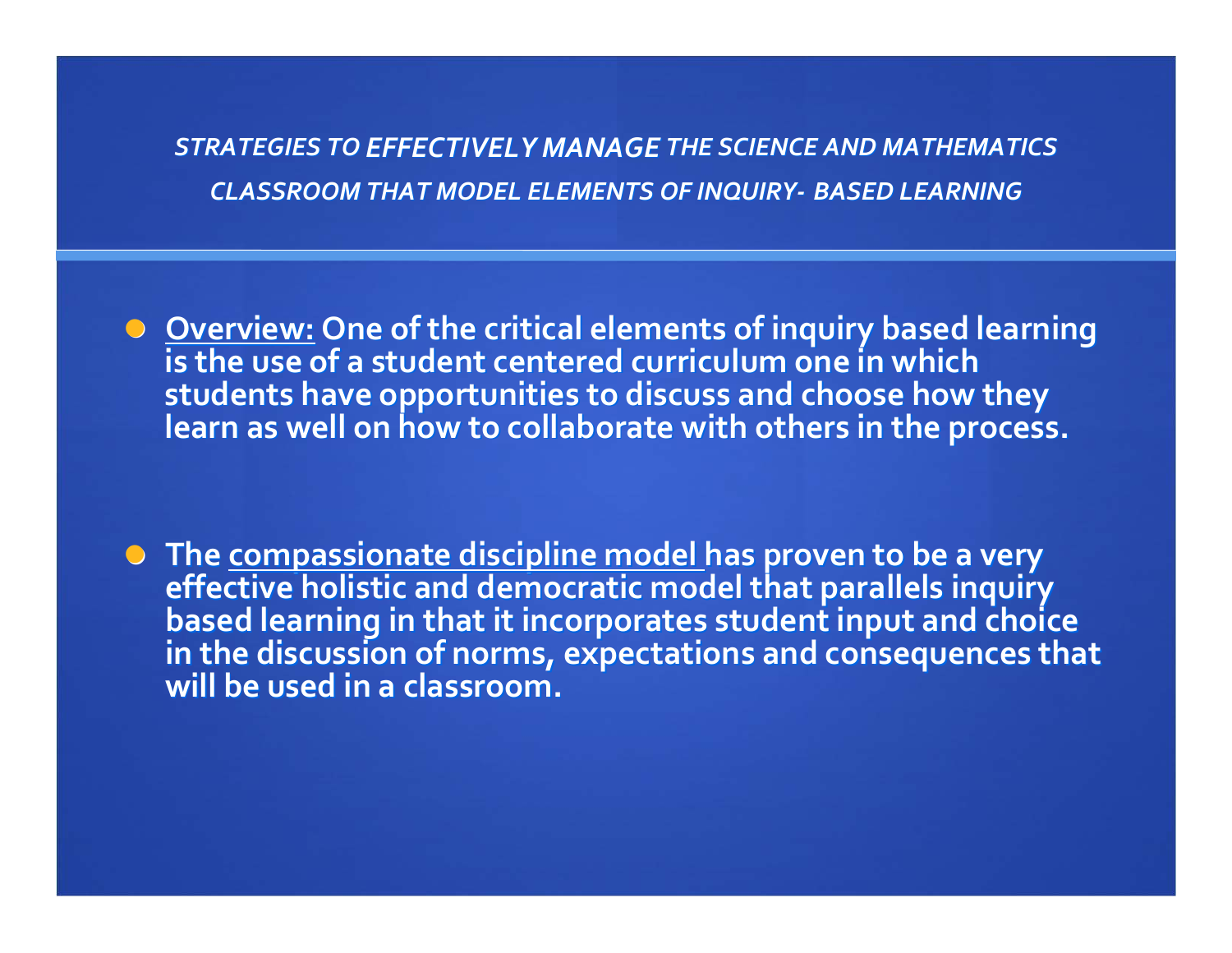*STRATEGIES STRATEGIESTO EFFECTIVELY EFFECTIVELYMANAGE THE SCIENCE SCIENCEAND MATHEMATICS MATHEMATICS CLASSROOM CLASSROOM THAT MODEL ELEMENTS ELEMENTS OF INQUIRY INQUIRY‐ BASED LEARNING LEARNING*

O <u>Overview:</u> One of the critical elements of inquiry based learning<br>is the use of a student centered curriculum one in which **students students**students have opportunities to discuss and choose how they<br>learn as well on how to collaborate with others in the process.

The <u>compassionate discipline model h</u>as proven to be a very<br>effective holistic and democratic model that parallels inquiry<br>based learning in that it incorporates student input and choic based learning in that it incorporates student input and choice<br>in the discussion of norms, expectations and consequences that<br>will be used in a classroom. **be used in <sup>a</sup> classroom. classroom.**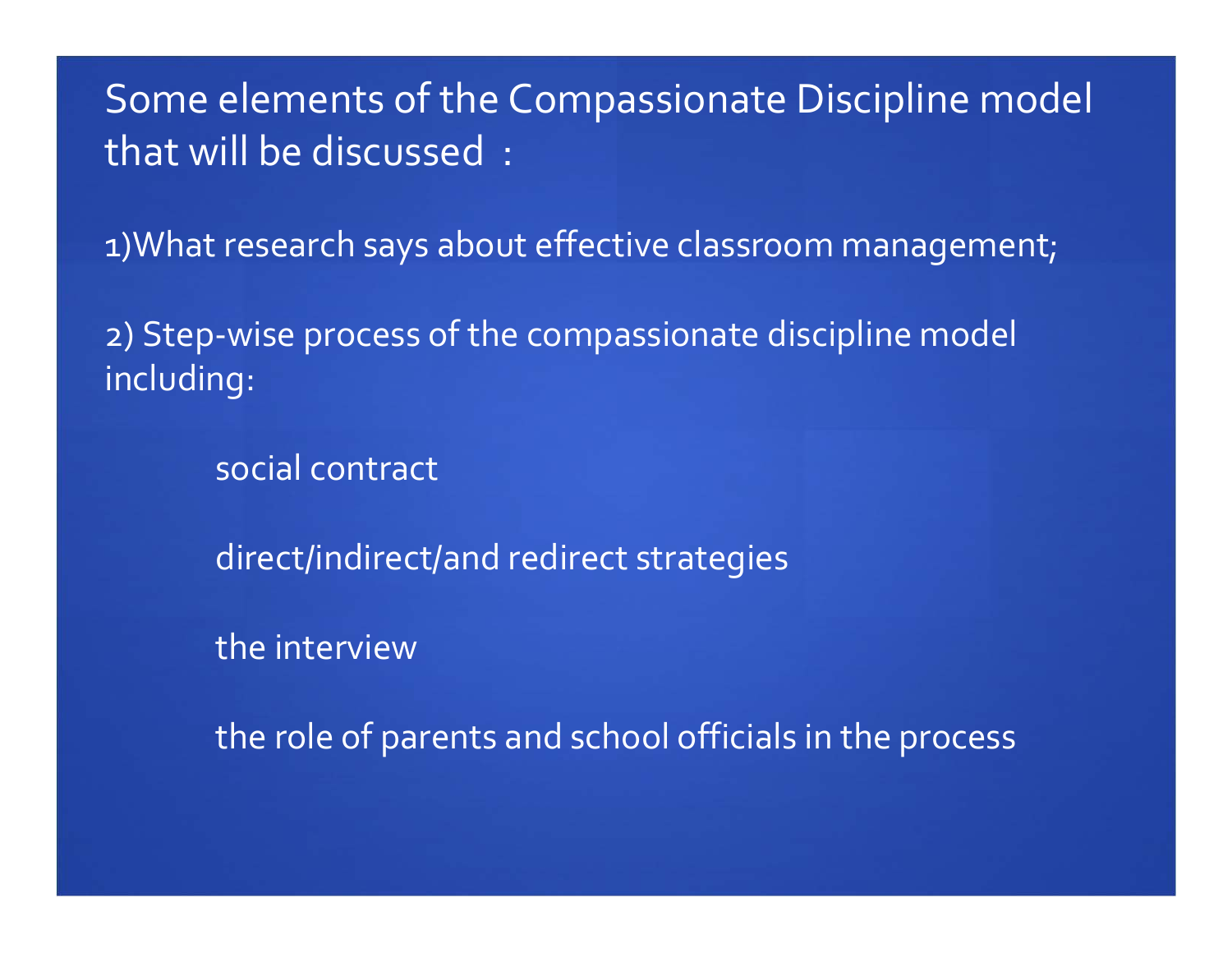Some elements of the Compassionate Discipline model that will be discussed :

1)What research says about effective classroom management;

2) Step‐wise process of the compassionate discipline model including:

social contract

direct/indirect/and redirect strategies

the interview

the role of parents and school officials in the process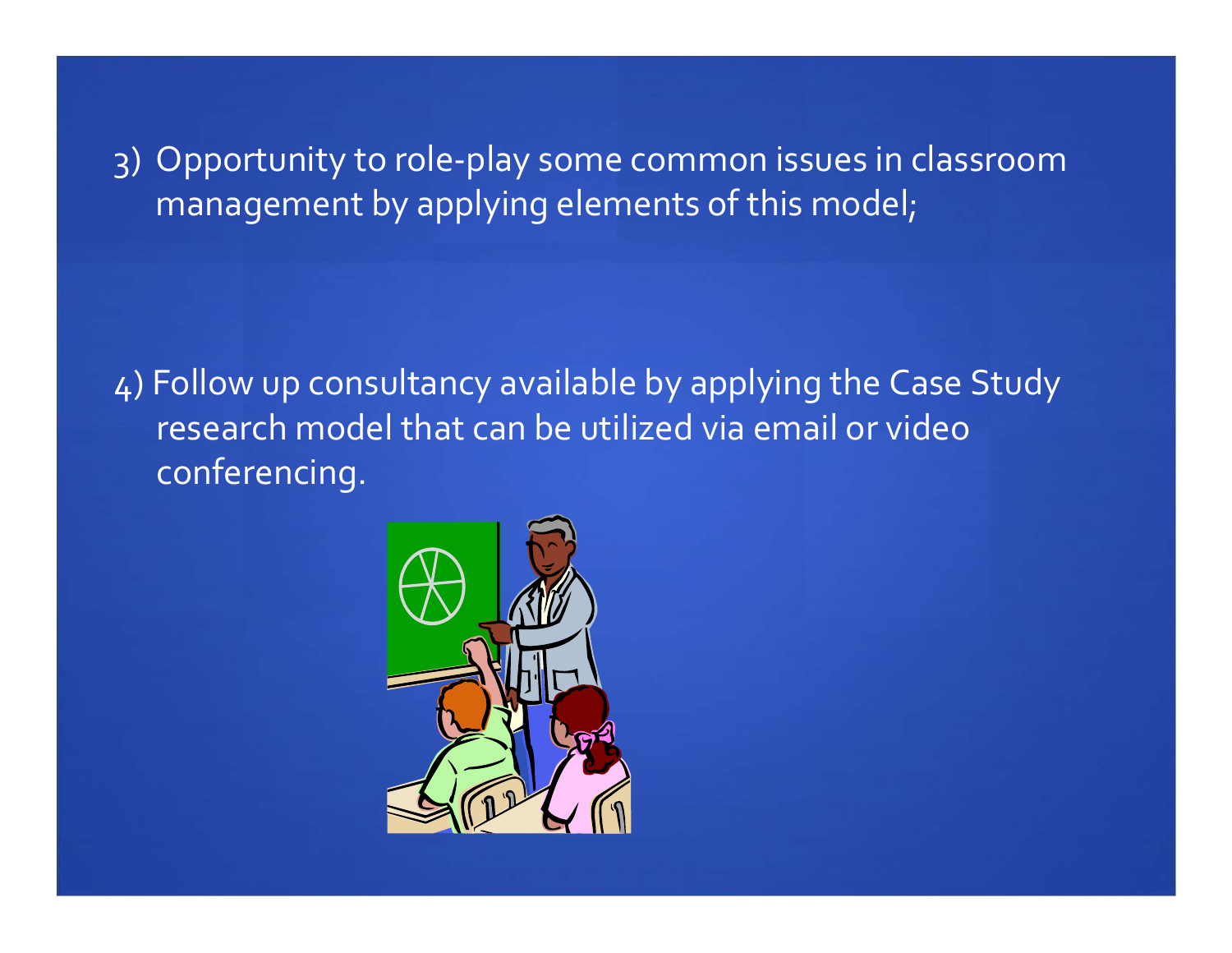3) Opportunity to role‐play some common issues in classroom managemen<sup>t</sup> by applying elements of this model;

4) Follow up consultancy available by applying the Case Study research model that can be utilized via email or video conferencing.

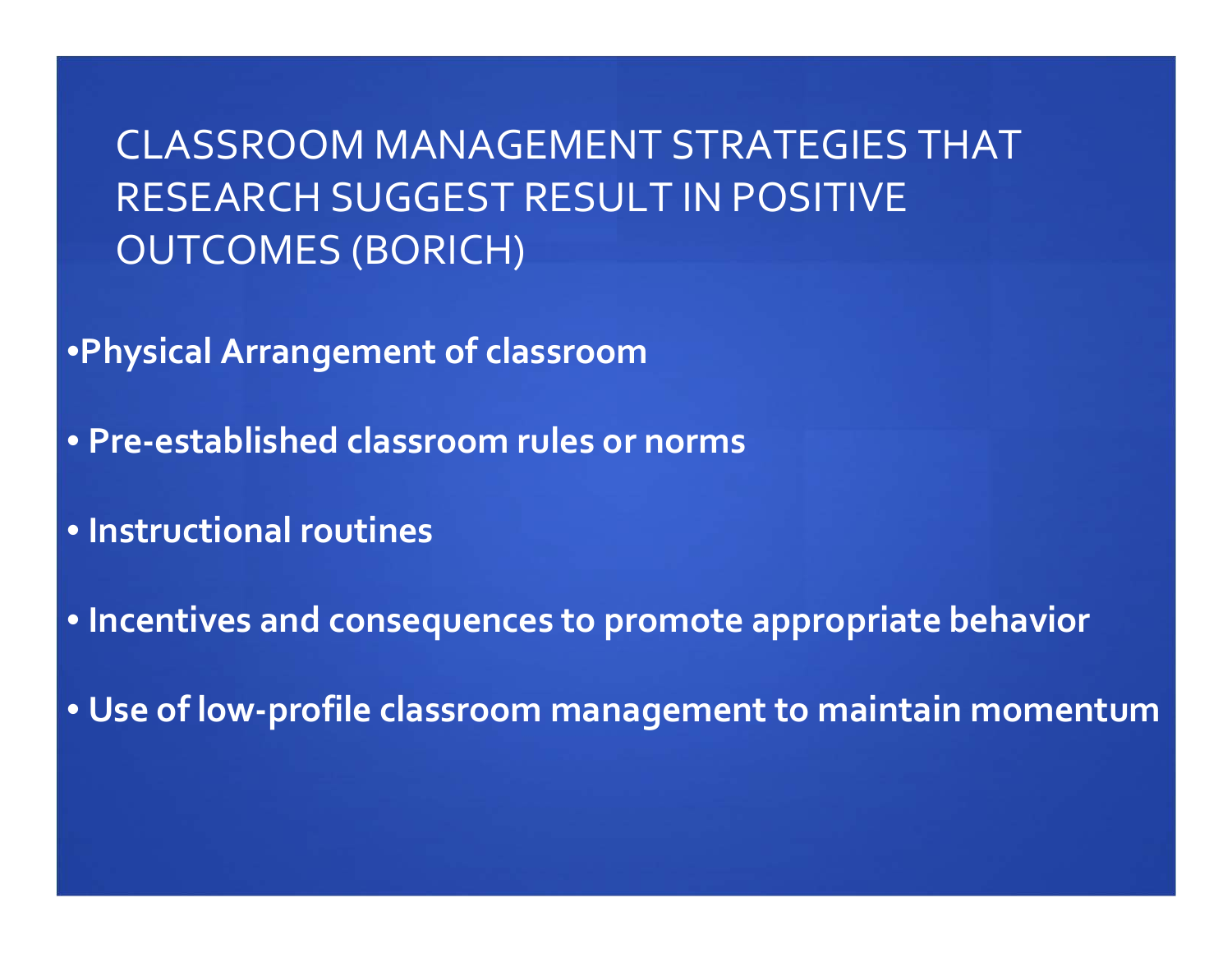CLASSROOM MANAGEMENT STRATEGIES THAT RESEARCH SUGGEST RESULT IN POSITIVE OUTCOMES (BORICH)

•**Physical Arrangement of classroom**

• **Pre‐established classroom rules or norms**

• **Instructional routines**

• **Incentives and consequences to promote appropriate behavior**

• **Use of low‐profile classroom managemen<sup>t</sup> to maintain momentum**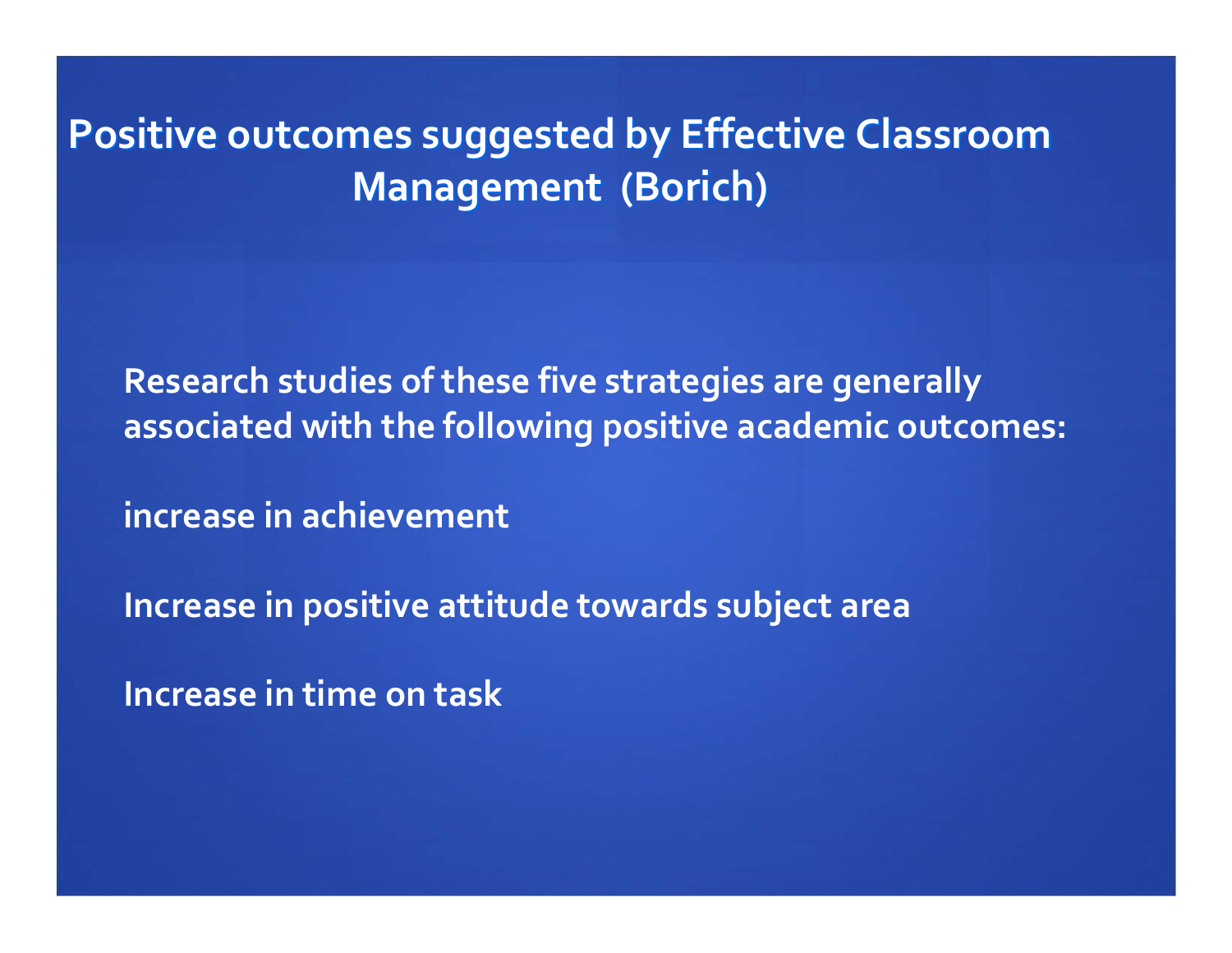**Positive Positive outcomes outcomes suggested suggested by Effective Effective Classroom Classroom Management** (Borich)

**Research studies of these five strategies are generally associated with the following positive academic outcomes:**

**increase in achievement**

**Increase in positive attitude towards subject area**

**Increase in time on task**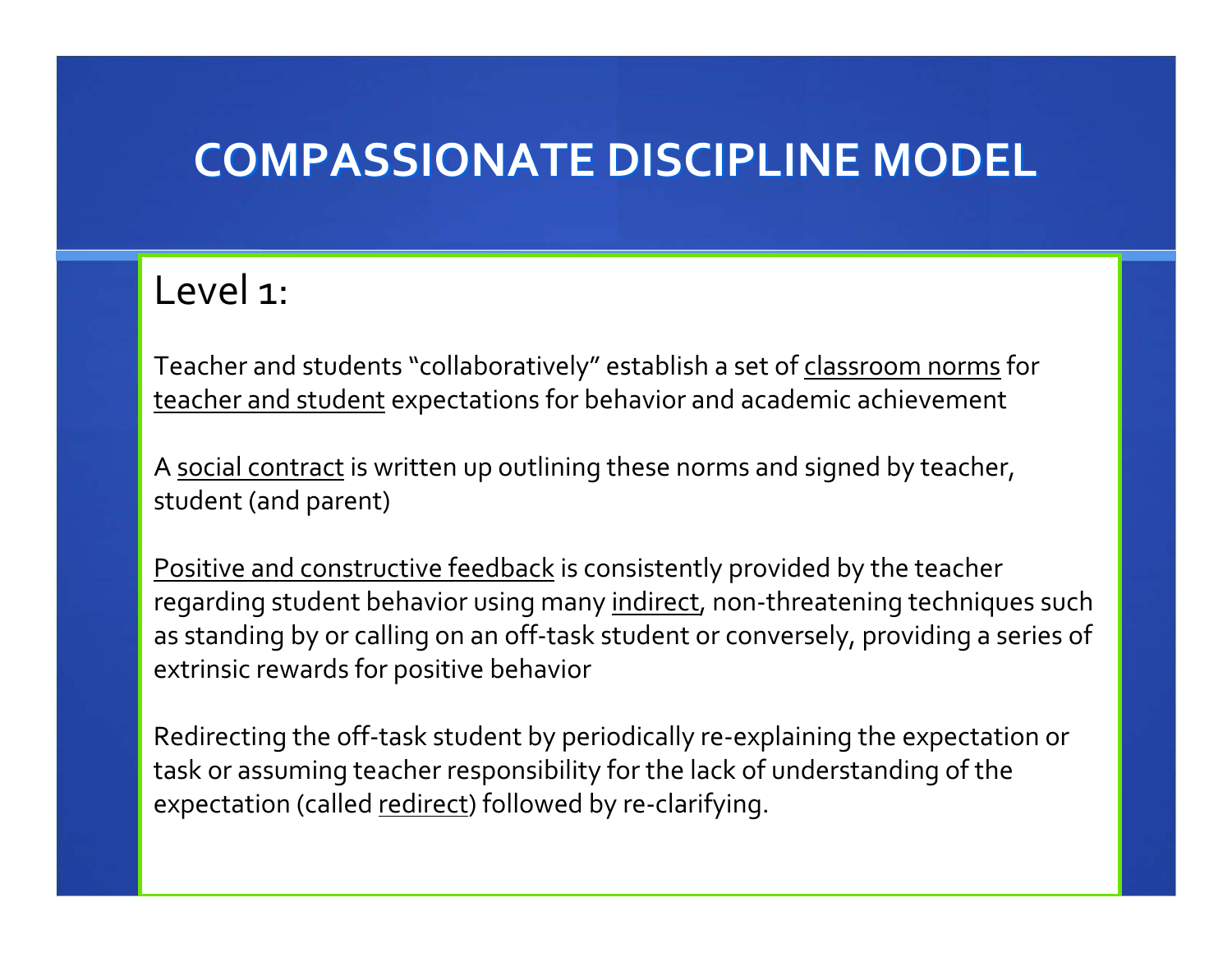# **COMPASSIONATE COMPASSIONATEDISCIPLINE DISCIPLINE MODEL**

#### Level 1:

Teacher and students "collaboratively" establish a set of <u>classroom norms</u> for teacher and student expectations for behavior and academic achievement

A <u>social contract</u> is written up outlining these norms and signed by teacher, student (and parent)

Positive and constructive feedback is consistently provided by the teacher regarding student behavior using many indirect, non-threatening techniques such as standing by or calling on an off‐task student or conversely, providing a series of extrinsic rewards for positive behavior

Redirecting the off-task student by periodically re-explaining the expectation or task or assuming teacher responsibility for the lack of understanding of the expectation (called redirect) followed by re-clarifying.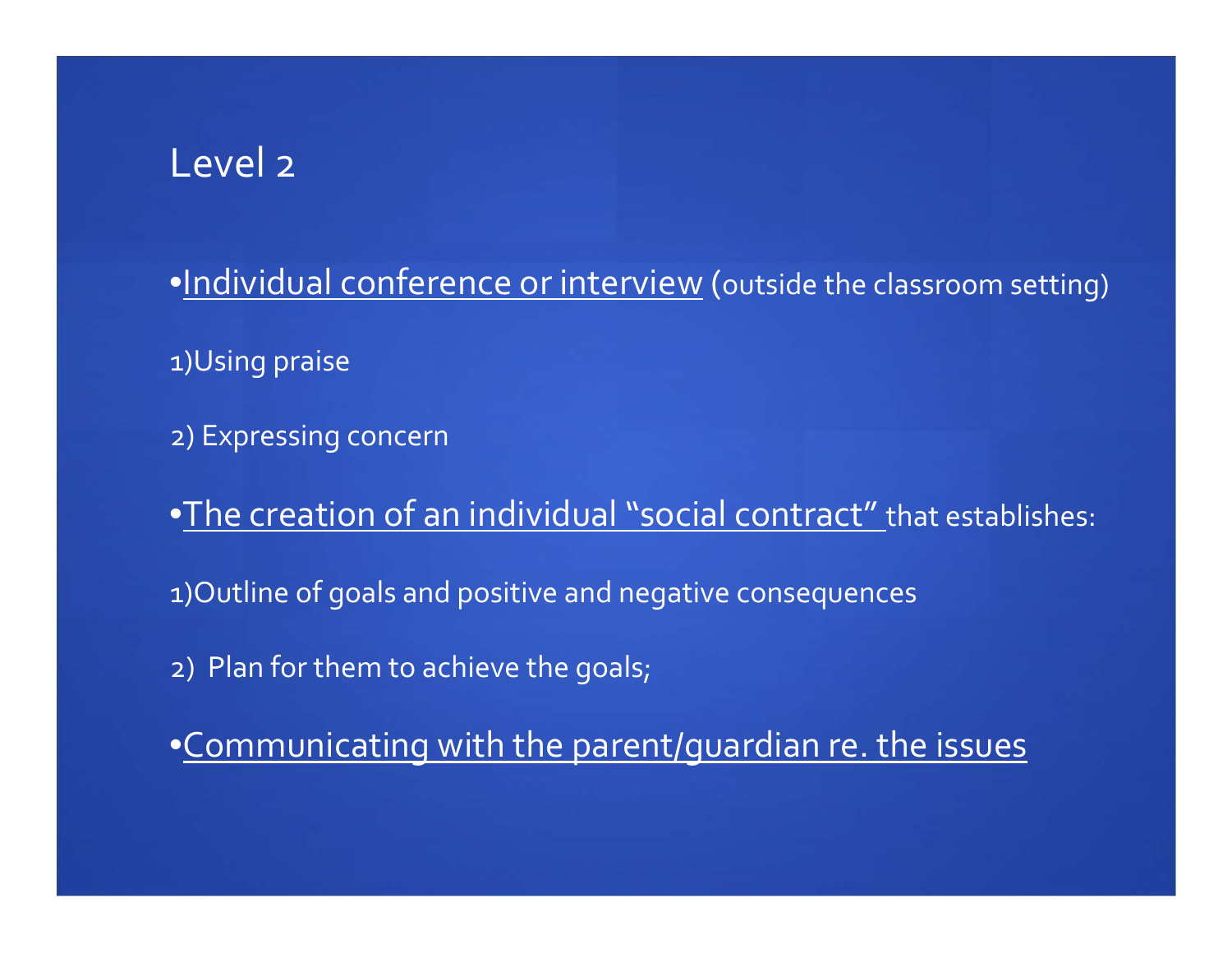#### Level <sup>2</sup>

•Individual conference or interview (outside the classroom setting)

1)Using praise

2) Expressing concern

•The creation of an individual "social contract" that establishes:

1)Outline of goals and positive and negative consequences

2) Plan for them to achieve the goals;

•Communicating with the parent/guardian re. the issues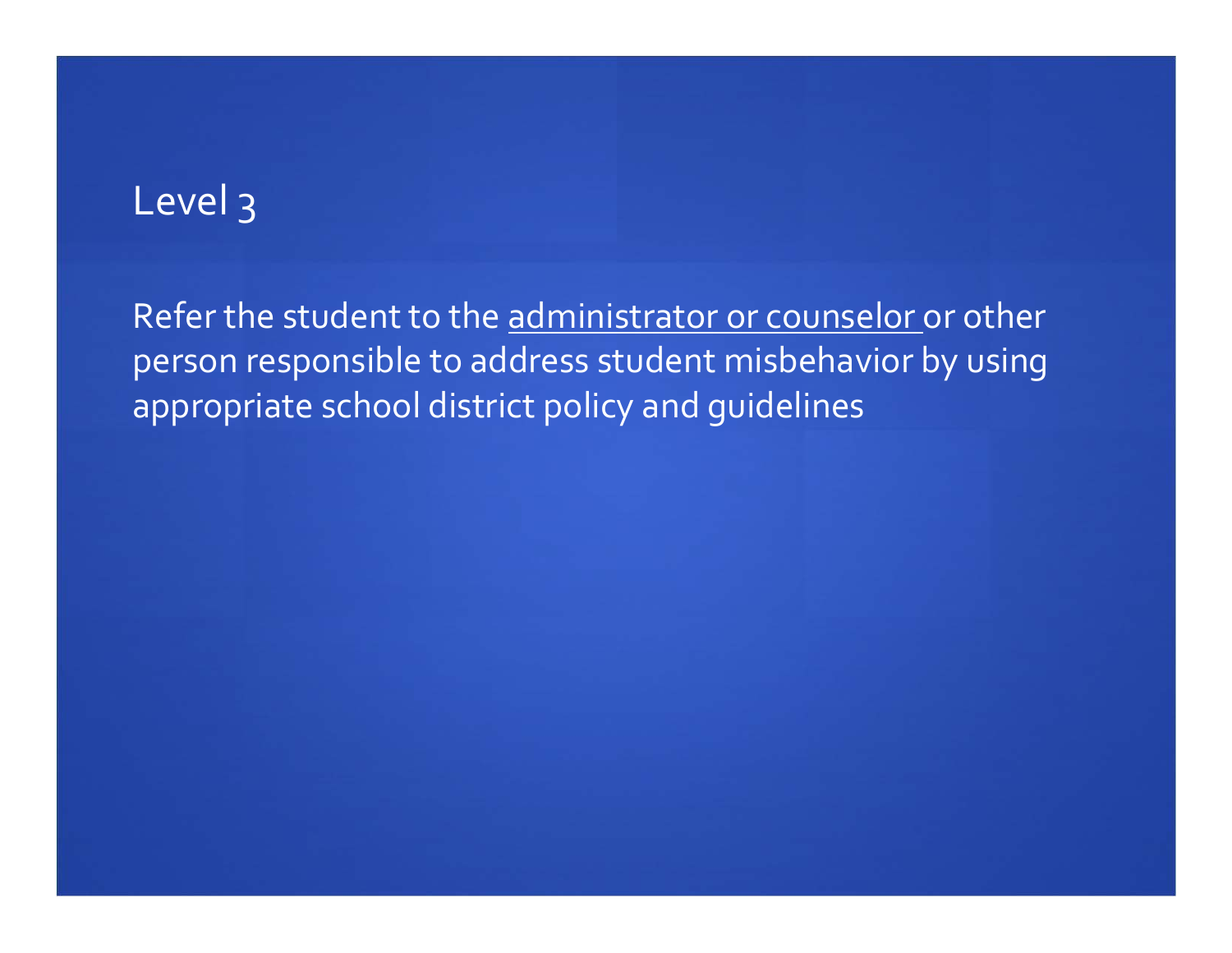### Level 3

Refer the student to the administrator or counselor or other person responsible to address student misbehavior by using appropriate school district policy and guidelines